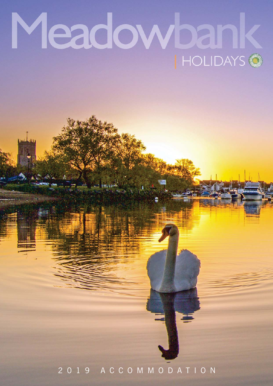# Meadowbank **HOLIDAYS \*\***

يسلبس

2019 ACCOMMODATION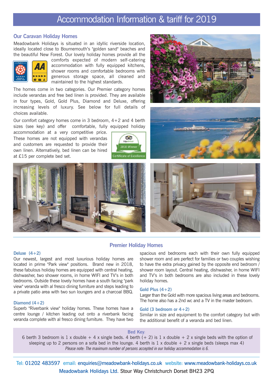# Accommodation Information & tariff for 2019

### **Our Caravan Holiday Homes**

Meadowbank Holidays is situated in an idyllic riverside location, ideally located close to Bournemouth's "golden sand" beaches and the beautiful New Forest. Our lovely holiday homes provide all the



comforts expected of modern self-catering accommodation with fully equipped kitchens, shower rooms and comfortable bedrooms with generous storage space, all cleaned and maintained to the highest standards.

The homes come in two categories. Our Premier category homes include verandas and free bed linen is provided. They are available in four types, Gold, Gold Plus, Diamond and Deluxe, offering increasing levels of luxury. See below for full details of choices available.

Our comfort category homes come in 3 bedroom, 4+2 and 4 berth sizes (see key) and offer comfortable, fully equipped holiday

accommodation at a very competitive price. These homes are not equipped with verandas and customers are requested to provide their own linen. Alternatively, bed linen can be hired at £15 per complete bed set.











## **Premier Holiday Homes**

#### **Deluxe (4+2)**

Our newest, largest and most luxurious holiday homes are located in prime "Park view" positions. Brand new in 2018, these fabulous holiday homes are equipped with central heating, dishwasher, two shower rooms, in home WIFI and TV's in both bedrooms. Outside these lovely homes have a south facing "park view" veranda with al fresco dining furniture and steps leading to a private patio area with two sun loungers and a charcoal BBQ.

#### **Diamond (4+2)**

Superb "Riverbank view" holiday homes. These homes have a centre lounge / kitchen leading out onto a riverbank facing veranda complete with al fresco dining furniture. They have two spacious end bedrooms each with their own fully equipped shower room and are perfect for families or two couples wishing to have the extra privacy gained by the opposite end bedroom / shower room layout. Central heating, dishwasher, in home WIFI and TV's in both bedrooms are also included in these lovely holiday homes.

#### **Gold Plus (4+2)**

Larger than the Gold with more spacious living areas and bedrooms. The home also has a 2nd wc and a TV in the master bedroom.

#### **Gold (3 bedroom or 4+2)**

Similar in size and equipment to the comfort category but with the additional benefit of a veranda and bed linen.

#### **Bed Key***:*

6 berth 3 bedroom is 1 x double + 4 x single beds. 4 berth  $(+ 2)$  is 1 x double + 2 x single beds with the option of sleeping up to 2 persons on a sofa bed in the lounge. 4 berth is  $1 \times$  double  $+ 2 \times$  single beds (sleeps max 4) *Please note: The maximum number of persons accepted in our holiday accommodation is 6.*

Tel: 01202 483597 email: enquiries@meadowbank-holidays.co.uk website: www.meadowbank-holidays.co.uk Meadowbank Holidays Ltd. Stour Way Christchurch Dorset BH23 2PQ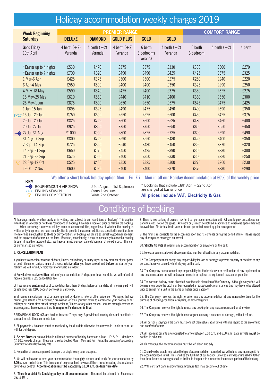# Holiday accommodation weekly charges 2019

| <b>Week Beginning</b>                           |                           |                           | <b>PREMIER RANGE</b>      | <b>COMFORT RANGE</b>             |                           |                      |                |              |
|-------------------------------------------------|---------------------------|---------------------------|---------------------------|----------------------------------|---------------------------|----------------------|----------------|--------------|
| <b>Saturday</b>                                 | <b>DELUXE</b>             | <b>DIAMOND</b>            | <b>GOLD PLUS</b>          | <b>GOLD</b>                      | <b>GOLD</b>               |                      |                |              |
| Good Friday<br>19th April                       | 4 berth $(+2)$<br>Veranda | 4 berth $(+2)$<br>Veranda | 4 berth $(+2)$<br>Veranda | 6 berth<br>3 bedrooms<br>Veranda | 4 berth $(+2)$<br>Veranda | 6 berth<br>3 bedroom | 4 berth $(+2)$ | 4 berth      |
| *Easter up to 4 nights                          | £530                      | £470                      | £375                      | £375                             | £330                      | £330                 | £300           | £270         |
| *Easter up to 7 nights                          | £700                      | £620                      | £490                      | £490                             | £425                      | £425                 | £375           | £325         |
| 1 Mar-6 Apr                                     | £425                      | £375                      | £300                      | £300                             | £275                      | £250                 | £240           | £220         |
| 6 Apr-4 May                                     | £550                      | £500                      | £400                      | £400                             | £350                      | £325                 | £290           | £250         |
| 4 May-18 May                                    | £590                      | £540                      | £425                      | £400                             | £375                      | £350                 | £325           | £275         |
| 18 May-25 May                                   | £610                      | £560                      | £440                      | £410                             | £400                      | £360                 | £350           | £300         |
| 25 May-1 Jun                                    | £875                      | £800                      | £650                      | £650                             | £575                      | £575                 | £475           | £425         |
| $1$ Jun- $15$ Jun                               | £695                      | £625                      | £490                      | £475                             | £450                      | £400                 | £390           | £350         |
| 15 Jun-29 Jun                                   | £750                      | £690                      | £550                      | £525                             | £500                      | £450                 | £425           | £375         |
| 29 Jun-20 Jul                                   | £825                      | £725                      | £600                      | £600                             | £525                      | £480                 | £460           | £400         |
| 20 Jul-27 Jul                                   | £925                      | £850                      | £750                      | £750                             | £650                      | £650                 | £550           | £450         |
| <b>← 27 Jul-31 Aug</b>                          | £1000                     | £900                      | £800                      | £825                             | £725                      | £690                 | £590           | £490         |
| 31 Aug-7 Sep                                    | £800                      | £725                      | £590                      | £550                             | £480                      | £425                 | £400           | £350         |
| 7 Sep-14 Sep                                    | £725                      | £650                      | £540                      | £480                             | £450                      | £390                 | £370           | £320         |
| 14 Sep-21 Sep                                   | £650                      | £575                      | £450                      | £425                             | £390                      | £350                 | £330           | £300         |
| 21 Sep-28 Sep                                   | £575                      | £500                      | £400                      | £350                             | £330                      | £300                 | £280           | £250         |
| 28 Sep-19 Oct<br>$\mathcal{R}$<br>19 Oct- 2 Nov | £525<br>£600              | £450<br>£525              | £350<br>£400              | £325<br>£400                     | £300<br>£370              | £275<br>£370         | £260<br>£330   | £230<br>£290 |

**KEY**

**We offer a short break holiday option Mon – Fri, Fri – Mon in all our Holiday Accommodation at 60% of the weekly price**

FISHING SEASON Starts 16th June<br>FISHING COMPETITION Weds 2nd October **FISHING COMPETITION** 

BOURNEMOUTH AIR SHOW 29th August – 1st September

\* Bookings that include 18th April – 22nd April are charged at Easter price

#### **All prices include VAT, Electricity & Gas**

## Conditions of booking

All bookings made, whether orally or in writing, are subject to our 'conditions of booking'. This applies regardless of whether or not these 'conditions of booking' have been received prior to making the booking. When reserving a caravan holiday home or accommodation, regardless of whether the booking is

written or by telephone, we have an obligation to provide the accommodation as specified in our literature. The hirer has an obligation to abide by our 'conditions of booking' which are essential to good management and the enjoyment of others on the Park. Because, occasionally, it may be necessary to cancel a booking through ill health or accident etc., we have arranged our own cancellation plan at no extra cost. This can be summarised as follows.

#### 1. **CANCELLATION PLAN**

If you have to cancel for reasons of death, illness, redundancy or injury to you or any member of your party, or death illness or serious injury of a close relative **after** you have booked and **before** the start of your holiday, we will refund / credit your money paid as follows:

a) Provided we receive **written** notice of your cancellation 14 days prior to arrival date, we will refund all monies paid less £25 cancellation fee.

b) If we receive **written** notice of cancellation less than 14 days before arrival date, all monies paid will be refunded less £100 deposit per week or part week.

In all cases cancellation must be accompanied by doctor's note or other evidence. We regret that we cannot give refunds for accident / breakdown on your journey down to commence your holiday or for holidays cut short after arrival through accident / illness or any other reason. You are strongly advised to insure against these eventualities. **Management's decision is final.**

2.PROVISIONAL BOOKINGS are held on trust for 7 days only. A provisional booking does not constitute a contract to hold the accommodation.

3. All payments / balances must be received by the due date otherwise the caravan is liable to be re-let with loss of deposit

4. **Short Breaks** are available in a limited number of holiday homes on a Mon – Fri & Fri – Mon basis @ 60% weekly charge. These can also be booked Mon – Mon and Fri – Fri at the preceding/succeeding Saturday to Saturday weekly rate.

5. No parties of unaccompanied teenagers or single sex groups accepted.

6. We will endeavour to have your accommodation thoroughly cleaned and ready for your occupation by **3.00 p.m.**on arrival date. This time cannot be guaranteed however, if there are extenuating circumstances beyond our control. **Accommodation must be vacated by 10.00 a.m. on departure date.**

7. **There is a strict No Smoking policy in all accommodation**. This must be adhered to- Please see clause 18. .

8. There is free parking at owners risk for 1 car per accommodation unit. All cars to park on surfaced car parking areas, not on the grass. Any extra car/s must be notified in advance as otherwise space may not be available. No lorries, trade vans or trucks permitted except by prior arrangement.

9. The hirer is responsible for the accommodation and its contents during the period of hire. Please report any shortages or breakages on arrival.

10. **Strictly No Pets** allowed in any accommodation or anywhere on the park.

11. No extra persons allowed above permitted number of berths in any accommodation.

12. The Company cannot accept any responsibility for loss or damage to private property or accident to any persons, however caused, whilst staying on the park.

13. The Company cannot accept any responsibility for the breakdown or malfunction of any equipment in any accommodation but will endeavour to repair or replace the equipment as soon as possible.

14. The caravan holiday home allocated is at the sole discretion of the Company. Although every effort will be made to provide the pitch number requested, in exceptional circumstances this may have to be altered prior to arrival for a unit in the same or higher price category.

15. The Company reserves the right to enter into any accommodation at any reasonable time for the purpose of checking condition, or repairs, or any emergency.

16. The Company reserves the right to refuse any booking for any reason expressed or otherwise.

17. The Company reserves the right to evict anyone causing a nuisance or damage, without refund.

18. All persons staying on the park must conduct themselves at all times with due regard to the enjoyment and comfort of others.

19. All incoming tenants are requested to arrive between 3.00 p.m. and 6.00 p.m. Late arrivals **must** be notified in advance.

20. On vacating, the accommodation must be left clean and tidy.

21. Should we be unable to provide the type of accommodation requested, we will refund any monies paid for the accommodation in full. This shall be the full limit of our liability. Enforced early departure liability (other than for nuisance or damage) shall be limited to the pro-rata amount for the unused portion of the booking.

22. With constant park improvements, brochure text may become out of date.